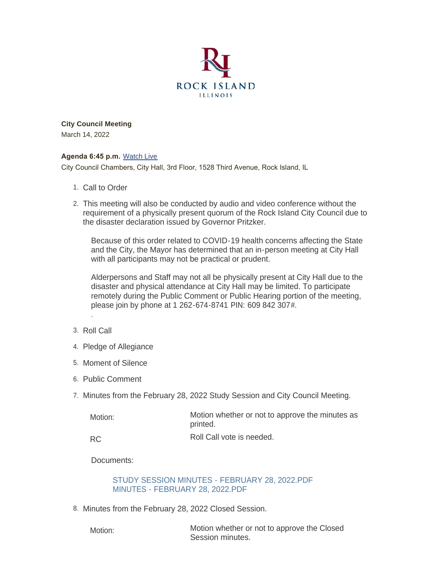

**City Council Meeting** March 14, 2022

#### **Agenda 6:45 p.m.** [Watch Live](https://www.youtube.com/user/RockIslandIL/live)

City Council Chambers, City Hall, 3rd Floor, 1528 Third Avenue, Rock Island, IL

- 1. Call to Order
- This meeting will also be conducted by audio and video conference without the 2. requirement of a physically present quorum of the Rock Island City Council due to the disaster declaration issued by Governor Pritzker.

Because of this order related to COVID-19 health concerns affecting the State and the City, the Mayor has determined that an in-person meeting at City Hall with all participants may not be practical or prudent.

Alderpersons and Staff may not all be physically present at City Hall due to the disaster and physical attendance at City Hall may be limited. To participate remotely during the Public Comment or Public Hearing portion of the meeting, please join by phone at 1 262-674-8741 PIN: 609 842 307#.

3. Roll Call

.

- 4. Pledge of Allegiance
- 5. Moment of Silence
- 6. Public Comment
- 7. Minutes from the February 28, 2022 Study Session and City Council Meeting.

| Motion: | Motion whether or not to approve the minutes as<br>printed. |
|---------|-------------------------------------------------------------|
| RC      | Roll Call vote is needed.                                   |

RC

Documents:

[STUDY SESSION MINUTES - FEBRUARY 28, 2022.PDF](https://www.rigov.org/AgendaCenter/ViewFile/Item/5388?fileID=7719) [MINUTES - FEBRUARY 28, 2022.PDF](https://www.rigov.org/AgendaCenter/ViewFile/Item/5388?fileID=7720)

8. Minutes from the February 28, 2022 Closed Session.

Motion:

Motion whether or not to approve the Closed Session minutes.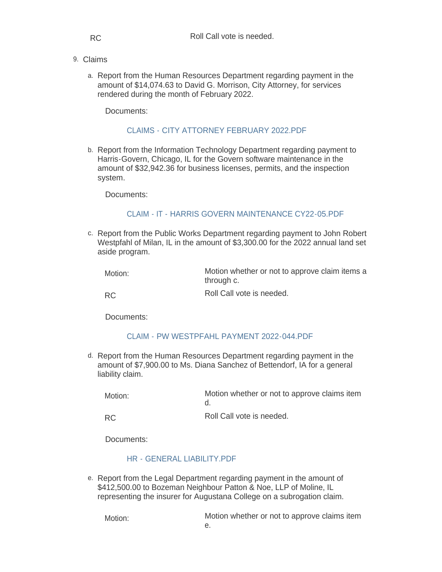RC

- Claims 9.
	- a. Report from the Human Resources Department regarding payment in the amount of \$14,074.63 to David G. Morrison, City Attorney, for services rendered during the month of February 2022.

Documents:

## [CLAIMS - CITY ATTORNEY FEBRUARY 2022.PDF](https://www.rigov.org/AgendaCenter/ViewFile/Item/5394?fileID=7713)

b. Report from the Information Technology Department regarding payment to Harris-Govern, Chicago, IL for the Govern software maintenance in the amount of \$32,942.36 for business licenses, permits, and the inspection system.

Documents:

# [CLAIM - IT - HARRIS GOVERN MAINTENANCE CY22-05.PDF](https://www.rigov.org/AgendaCenter/ViewFile/Item/5414?fileID=7712)

c. Report from the Public Works Department regarding payment to John Robert Westpfahl of Milan, IL in the amount of \$3,300.00 for the 2022 annual land set aside program.

| Motion: | Motion whether or not to approve claim items a |
|---------|------------------------------------------------|
|         | through c.                                     |

RC

Roll Call vote is needed.

Documents:

# [CLAIM - PW WESTPFAHL PAYMENT 2022-044.PDF](https://www.rigov.org/AgendaCenter/ViewFile/Item/5396?fileID=7524)

d. Report from the Human Resources Department regarding payment in the amount of \$7,900.00 to Ms. Diana Sanchez of Bettendorf, IA for a general liability claim.

| Motion:   | Motion whether or not to approve claims item |
|-----------|----------------------------------------------|
| <b>RC</b> | Roll Call vote is needed.                    |

Documents:

# [HR - GENERAL LIABILITY.PDF](https://www.rigov.org/AgendaCenter/ViewFile/Item/5412?fileID=7715)

e. Report from the Legal Department regarding payment in the amount of \$412,500.00 to Bozeman Neighbour Patton & Noe, LLP of Moline, IL representing the insurer for Augustana College on a subrogation claim.

Motion:

Motion whether or not to approve claims item e.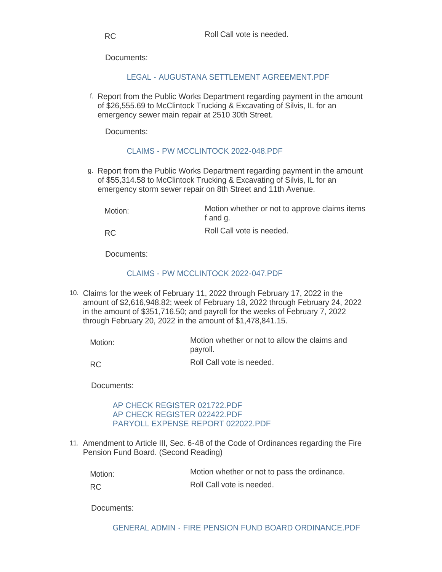Documents:

[LEGAL - AUGUSTANA SETTLEMENT AGREEMENT.PDF](https://www.rigov.org/AgendaCenter/ViewFile/Item/5415?fileID=7716)

f. Report from the Public Works Department regarding payment in the amount of \$26,555.69 to McClintock Trucking & Excavating of Silvis, IL for an emergency sewer main repair at 2510 30th Street.

Documents:

# [CLAIMS - PW MCCLINTOCK 2022-048.PDF](https://www.rigov.org/AgendaCenter/ViewFile/Item/5400?fileID=7528)

g. Report from the Public Works Department regarding payment in the amount of \$55,314.58 to McClintock Trucking & Excavating of Silvis, IL for an emergency storm sewer repair on 8th Street and 11th Avenue.

Motion whether or not to approve claims items f and g. Roll Call vote is needed. Motion: RC

Documents:

# CLAIMS - PW MCCLINTOCK 2022-047 PDF

Claims for the week of February 11, 2022 through February 17, 2022 in the 10. amount of \$2,616,948.82; week of February 18, 2022 through February 24, 2022 in the amount of \$351,716.50; and payroll for the weeks of February 7, 2022 through February 20, 2022 in the amount of \$1,478,841.15.

Motion whether or not to allow the claims and payroll. Roll Call vote is needed. Motion:

RC

Documents:

### [AP CHECK REGISTER 021722.PDF](https://www.rigov.org/AgendaCenter/ViewFile/Item/5409?fileID=7708) [AP CHECK REGISTER 022422.PDF](https://www.rigov.org/AgendaCenter/ViewFile/Item/5409?fileID=7709) PARYOLL EXPENSE REPORT 022022 PDF

11. Amendment to Article III, Sec. 6-48 of the Code of Ordinances regarding the Fire Pension Fund Board. (Second Reading)

Motion whether or not to pass the ordinance. Motion:

Roll Call vote is needed. RC

Documents:

[GENERAL ADMIN - FIRE PENSION FUND BOARD ORDINANCE.PDF](https://www.rigov.org/AgendaCenter/ViewFile/Item/5390?fileID=7519)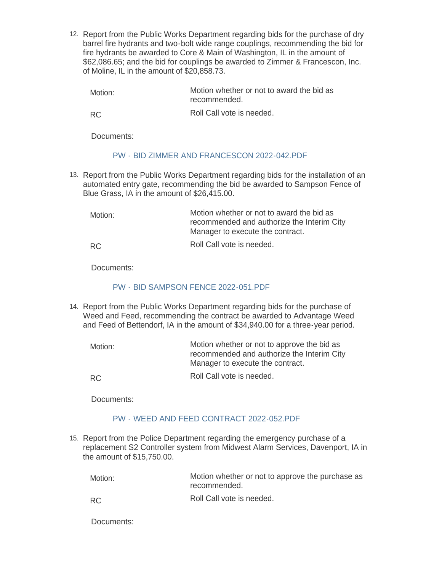12. Report from the Public Works Department regarding bids for the purchase of dry barrel fire hydrants and two-bolt wide range couplings, recommending the bid for fire hydrants be awarded to Core & Main of Washington, IL in the amount of \$62,086.65; and the bid for couplings be awarded to Zimmer & Francescon, Inc. of Moline, IL in the amount of \$20,858.73.

| Motion: | Motion whether or not to award the bid as |
|---------|-------------------------------------------|
|         | recommended.                              |

RC

Roll Call vote is needed.

Documents:

# [PW - BID ZIMMER AND FRANCESCON 2022-042.PDF](https://www.rigov.org/AgendaCenter/ViewFile/Item/5399?fileID=7527)

13. Report from the Public Works Department regarding bids for the installation of an automated entry gate, recommending the bid be awarded to Sampson Fence of Blue Grass, IA in the amount of \$26,415.00.

Motion whether or not to award the bid as recommended and authorize the Interim City Manager to execute the contract. Roll Call vote is needed. Motion: RC

Documents:

## [PW - BID SAMPSON FENCE 2022-051.PDF](https://www.rigov.org/AgendaCenter/ViewFile/Item/5401?fileID=7701)

14. Report from the Public Works Department regarding bids for the purchase of Weed and Feed, recommending the contract be awarded to Advantage Weed and Feed of Bettendorf, IA in the amount of \$34,940.00 for a three-year period.

| Motion: | Motion whether or not to approve the bid as<br>recommended and authorize the Interim City<br>Manager to execute the contract. |
|---------|-------------------------------------------------------------------------------------------------------------------------------|
| -RC     | Roll Call vote is needed.                                                                                                     |

Documents:

# [PW - WEED AND FEED CONTRACT 2022-052.PDF](https://www.rigov.org/AgendaCenter/ViewFile/Item/5402?fileID=7702)

15. Report from the Police Department regarding the emergency purchase of a replacement S2 Controller system from Midwest Alarm Services, Davenport, IA in the amount of \$15,750.00.

| Motion:   | Motion whether or not to approve the purchase as<br>recommended. |
|-----------|------------------------------------------------------------------|
| <b>RC</b> | Roll Call vote is needed.                                        |

Documents: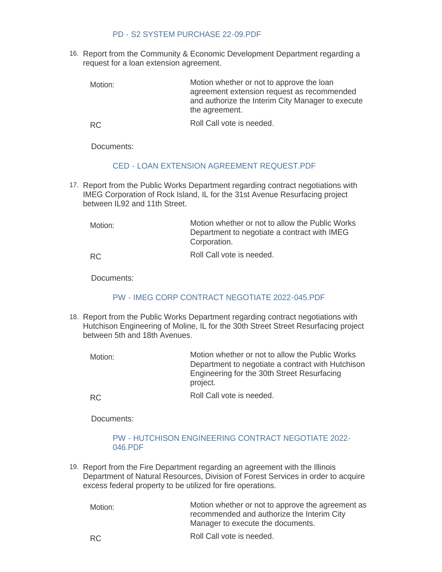#### [PD - S2 SYSTEM PURCHASE 22-09.PDF](https://www.rigov.org/AgendaCenter/ViewFile/Item/5416?fileID=7717)

16. Report from the Community & Economic Development Department regarding a request for a loan extension agreement.

Motion whether or not to approve the loan agreement extension request as recommended and authorize the Interim City Manager to execute the agreement. Motion:

Roll Call vote is needed. RC

Documents:

# [CED - LOAN EXTENSION AGREEMENT REQUEST.PDF](https://www.rigov.org/AgendaCenter/ViewFile/Item/5393?fileID=7521)

17. Report from the Public Works Department regarding contract negotiations with IMEG Corporation of Rock Island, IL for the 31st Avenue Resurfacing project between IL92 and 11th Street.

Motion whether or not to allow the Public Works Department to negotiate a contract with IMEG Corporation. Roll Call vote is needed. Motion: RC

Documents:

# [PW - IMEG CORP CONTRACT NEGOTIATE 2022-045.PDF](https://www.rigov.org/AgendaCenter/ViewFile/Item/5397?fileID=7525)

18. Report from the Public Works Department regarding contract negotiations with Hutchison Engineering of Moline, IL for the 30th Street Street Resurfacing project between 5th and 18th Avenues.

Motion whether or not to allow the Public Works Department to negotiate a contract with Hutchison Engineering for the 30th Street Resurfacing project. Motion:

Roll Call vote is needed. RC

Documents:

# [PW - HUTCHISON ENGINEERING CONTRACT NEGOTIATE 2022-](https://www.rigov.org/AgendaCenter/ViewFile/Item/5395?fileID=7523) 046.PDF

19. Report from the Fire Department regarding an agreement with the Illinois Department of Natural Resources, Division of Forest Services in order to acquire excess federal property to be utilized for fire operations.

Motion whether or not to approve the agreement as recommended and authorize the Interim City Manager to execute the documents. Motion:

Roll Call vote is needed. RC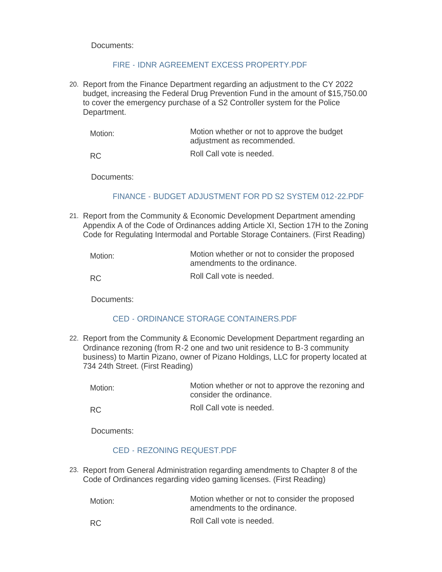Documents:

# [FIRE - IDNR AGREEMENT EXCESS PROPERTY.PDF](https://www.rigov.org/AgendaCenter/ViewFile/Item/5408?fileID=7707)

Report from the Finance Department regarding an adjustment to the CY 2022 20. budget, increasing the Federal Drug Prevention Fund in the amount of \$15,750.00 to cover the emergency purchase of a S2 Controller system for the Police Department.

| Motion:   | Motion whether or not to approve the budget<br>adjustment as recommended. |
|-----------|---------------------------------------------------------------------------|
| <b>RC</b> | Roll Call vote is needed.                                                 |

Documents:

# [FINANCE - BUDGET ADJUSTMENT FOR PD S2 SYSTEM 012-22.PDF](https://www.rigov.org/AgendaCenter/ViewFile/Item/5413?fileID=7714)

21. Report from the Community & Economic Development Department amending Appendix A of the Code of Ordinances adding Article XI, Section 17H to the Zoning Code for Regulating Intermodal and Portable Storage Containers. (First Reading)

| Motion: | Motion whether or not to consider the proposed<br>amendments to the ordinance. |
|---------|--------------------------------------------------------------------------------|
| RC.     | Roll Call vote is needed.                                                      |

Documents:

# [CED - ORDINANCE STORAGE CONTAINERS.PDF](https://www.rigov.org/AgendaCenter/ViewFile/Item/5405?fileID=7704)

22. Report from the Community & Economic Development Department regarding an Ordinance rezoning (from R-2 one and two unit residence to B-3 community business) to Martin Pizano, owner of Pizano Holdings, LLC for property located at 734 24th Street. (First Reading)

| Motion: | Motion whether or not to approve the rezoning and |
|---------|---------------------------------------------------|
|         | consider the ordinance.                           |

Roll Call vote is needed. RC

Documents:

#### [CED - REZONING REQUEST.PDF](https://www.rigov.org/AgendaCenter/ViewFile/Item/5406?fileID=7705)

23. Report from General Administration regarding amendments to Chapter 8 of the Code of Ordinances regarding video gaming licenses. (First Reading)

| Motion: | Motion whether or not to consider the proposed<br>amendments to the ordinance. |
|---------|--------------------------------------------------------------------------------|
| RC.     | Roll Call vote is needed.                                                      |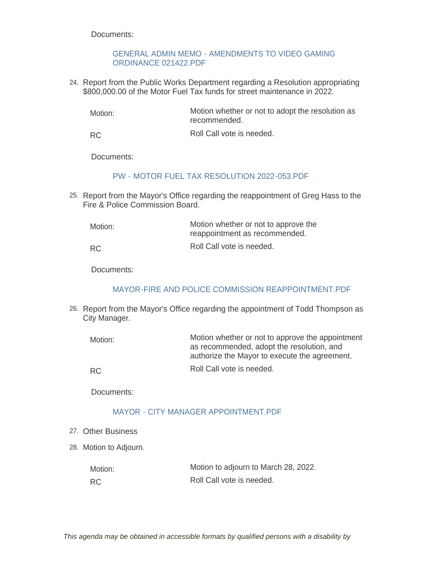Documents:

## [GENERAL ADMIN MEMO - AMENDMENTS TO VIDEO GAMING](https://www.rigov.org/AgendaCenter/ViewFile/Item/5391?fileID=7520)  ORDINANCE 021422.PDF

24. Report from the Public Works Department regarding a Resolution appropriating \$800,000.00 of the Motor Fuel Tax funds for street maintenance in 2022.

Motion whether or not to adopt the resolution as recommended. Motion:

Roll Call vote is needed. RC

Documents:

### [PW - MOTOR FUEL TAX RESOLUTION 2022-053.PDF](https://www.rigov.org/AgendaCenter/ViewFile/Item/5404?fileID=7703)

25. Report from the Mayor's Office regarding the reappointment of Greg Hass to the Fire & Police Commission Board.

| Motion:   | Motion whether or not to approve the<br>reappointment as recommended. |
|-----------|-----------------------------------------------------------------------|
| <b>RC</b> | Roll Call vote is needed.                                             |

Documents:

# [MAYOR-FIRE AND POLICE COMMISSION REAPPOINTMENT.PDF](https://www.rigov.org/AgendaCenter/ViewFile/Item/5407?fileID=7706)

26. Report from the Mayor's Office regarding the appointment of Todd Thompson as City Manager.

| Motion: | Motion whether or not to approve the appointment<br>as recommended, adopt the resolution, and<br>authorize the Mayor to execute the agreement. |
|---------|------------------------------------------------------------------------------------------------------------------------------------------------|
| RC.     | Roll Call vote is needed.                                                                                                                      |

Documents:

# [MAYOR - CITY MANAGER APPOINTMENT.PDF](https://www.rigov.org/AgendaCenter/ViewFile/Item/5423?fileID=7722)

- Other Business 27.
- 28. Motion to Adjourn.

| Motion:   | Motion to adjourn to March 28, 2022. |
|-----------|--------------------------------------|
| <b>RC</b> | Roll Call vote is needed.            |